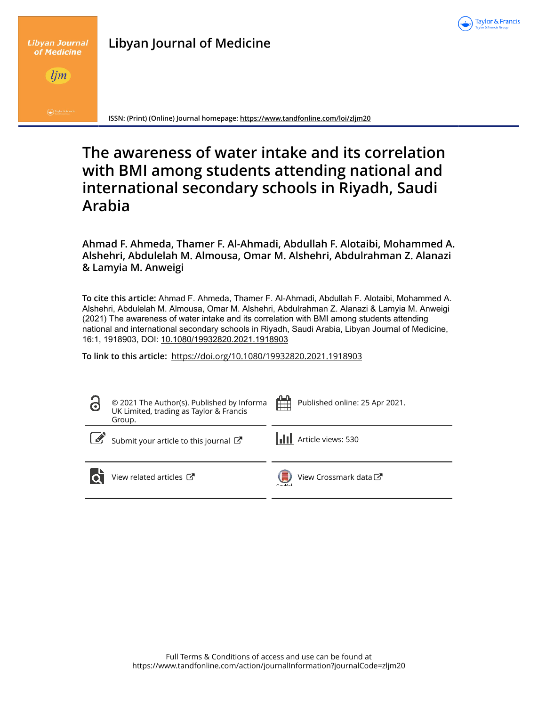

| <b>Libyan Journal of Medicine</b> |  |
|-----------------------------------|--|
|-----------------------------------|--|



**Libyan Journal** 

**ISSN: (Print) (Online) Journal homepage: https://www.tandfonline.com/loi/zljm20**

# **The awareness of water intake and its correlation with BMI among students attending national and international secondary schools in Riyadh, Saudi Arabia**

**Ahmad F. Ahmeda, Thamer F. Al-Ahmadi, Abdullah F. Alotaibi, Mohammed A. Alshehri, Abdulelah M. Almousa, Omar M. Alshehri, Abdulrahman Z. Alanazi & Lamyia M. Anweigi**

**To cite this article:** Ahmad F. Ahmeda, Thamer F. Al-Ahmadi, Abdullah F. Alotaibi, Mohammed A. Alshehri, Abdulelah M. Almousa, Omar M. Alshehri, Abdulrahman Z. Alanazi & Lamyia M. Anweigi (2021) The awareness of water intake and its correlation with BMI among students attending national and international secondary schools in Riyadh, Saudi Arabia, Libyan Journal of Medicine, 16:1, 1918903, DOI: 10.1080/19932820.2021.1918903

**To link to this article:** https://doi.org/10.1080/19932820.2021.1918903

| © 2021 The Author(s). Published by Informa<br>UK Limited, trading as Taylor & Francis<br>Group. | 鱛<br>Published online: 25 Apr 2021. |
|-------------------------------------------------------------------------------------------------|-------------------------------------|
| Submit your article to this journal $\mathbb{Z}^{\bullet}$                                      | Article views: 530                  |
| View related articles C                                                                         | View Crossmark data<br>Car-ddark.   |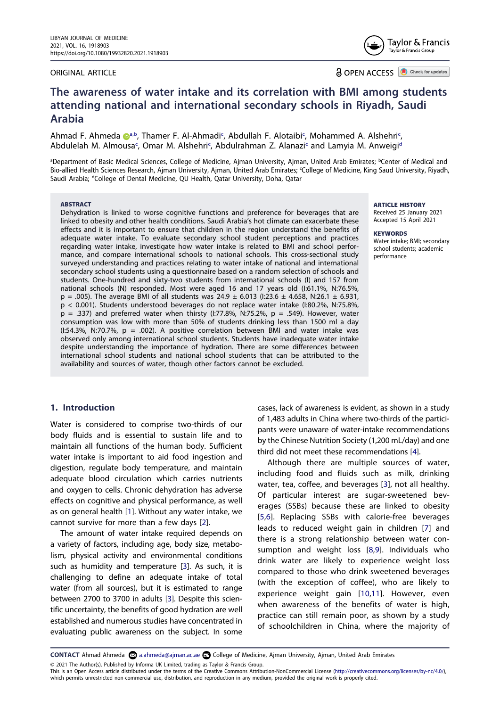#### ORIGINAL ARTICLE

**a** OPEN ACCESS **D** Check for updates

# **The awareness of water intake and its correlation with BMI among students attending national and international secondary schools in Riyadh, Saudi Arabia**

Ahm[a](http://orcid.org/0000-0001-5962-9573)d F. Ahmeda <sub>@</sub>[a,b](#page-1-0), Thamer F. Al-Ahmadi<sup>[c](#page-1-1)</sup>, Abdullah F. Alotaibi<sup>c</sup>, Mohammed A. Alshehri<sup>c</sup>, Abdulelah M. Almousa<sup>[c](#page-1-1)</sup>, Omar M. Alshehri<sup>c</sup>, Abdulrahman Z. Alanazi[c](#page-1-1) an[d](#page-1-2) Lamyia M. Anweigi<sup>d</sup>

<span id="page-1-2"></span><span id="page-1-1"></span><span id="page-1-0"></span>aDepartment of Basic Medical Sciences, College of Medicine, Ajman University, Ajman, United Arab Emirates; <sup>b</sup>Center of Medical and Bio-allied Health Sciences Research, Ajman University, Ajman, United Arab Emirates; College of Medicine, King Saud University, Riyadh, Saudi Arabia; <sup>d</sup>College of Dental Medicine, QU Health, Qatar University, Doha, Qatar

#### ABSTRACT

Dehydration is linked to worse cognitive functions and preference for beverages that are linked to obesity and other health conditions. Saudi Arabia's hot climate can exacerbate these effects and it is important to ensure that children in the region understand the benefits of adequate water intake. To evaluate secondary school student perceptions and practices regarding water intake, investigate how water intake is related to BMI and school performance, and compare international schools to national schools. This cross-sectional study surveyed understanding and practices relating to water intake of national and international secondary school students using a questionnaire based on a random selection of schools and students. One-hundred and sixty-two students from international schools (I) and 157 from national schools (N) responded. Most were aged 16 and 17 years old (I:61.1%, N:76.5%,  $p = .005$ ). The average BMI of all students was 24.9  $\pm$  6.013 (I:23.6  $\pm$  4.658, N:26.1  $\pm$  6.931, p < 0.001). Students understood beverages do not replace water intake (I:80.2%, N:75.8%,  $p = .337$ ) and preferred water when thirsty (I:77.8%, N:75.2%,  $p = .549$ ). However, water consumption was low with more than 50% of students drinking less than 1500 ml a day (I:54.3%, N:70.7%,  $p = .002$ ). A positive correlation between BMI and water intake was observed only among international school students. Students have inadequate water intake despite understanding the importance of hydration. There are some differences between international school students and national school students that can be attributed to the availability and sources of water, though other factors cannot be excluded.

## **1. Introduction**

Water is considered to comprise two-thirds of our body fluids and is essential to sustain life and to maintain all functions of the human body. Sufficient water intake is important to aid food ingestion and digestion, regulate body temperature, and maintain adequate blood circulation which carries nutrients and oxygen to cells. Chronic dehydration has adverse effects on cognitive and physical performance, as well as on general health [[1](#page-6-0)]. Without any water intake, we cannot survive for more than a few days [\[2\]](#page-6-1).

The amount of water intake required depends on a variety of factors, including age, body size, metabolism, physical activity and environmental conditions such as humidity and temperature [[3\]](#page-6-2). As such, it is challenging to define an adequate intake of total water (from all sources), but it is estimated to range between 2700 to 3700 in adults [\[3](#page-6-2)]. Despite this scientific uncertainty, the benefits of good hydration are well established and numerous studies have concentrated in evaluating public awareness on the subject. In some

cases, lack of awareness is evident, as shown in a study of 1,483 adults in China where two-thirds of the participants were unaware of water-intake recommendations by the Chinese Nutrition Society (1,200 mL/day) and one third did not meet these recommendations [\[4](#page-6-3)].

Although there are multiple sources of water, including food and fluids such as milk, drinking water, tea, coffee, and beverages [[3\]](#page-6-2), not all healthy. Of particular interest are sugar-sweetened beverages (SSBs) because these are linked to obesity [[5,](#page-6-4)[6](#page-6-5)]. Replacing SSBs with calorie-free beverages leads to reduced weight gain in children [\[7\]](#page-6-6) and there is a strong relationship between water consumption and weight loss [\[8](#page-6-7),[9\]](#page-6-8). Individuals who drink water are likely to experience weight loss compared to those who drink sweetened beverages (with the exception of coffee), who are likely to experience weight gain [[10](#page-7-0)[,11\]](#page-7-1). However, even when awareness of the benefits of water is high, practice can still remain poor, as shown by a study of schoolchildren in China, where the majority of

**CONTACT** Ahmad Ahmeda **a.** ahmeda@ajman.ac.ae **C**Ollege of Medicine, Ajman University, Ajman, United Arab Emirates

© 2021 The Author(s). Published by Informa UK Limited, trading as Taylor & Francis Group.

This is an Open Access article distributed under the terms of the Creative Commons Attribution-NonCommercial License (http://creativecommons.org/licenses/by-nc/4.0/), which permits unrestricted non-commercial use, distribution, and reproduction in any medium, provided the original work is properly cited.

ARTICLE HISTORY

Received 25 January 2021 Accepted 15 April 2021

**KEYWORDS** Water intake; BMI; secondary school students; academic performance

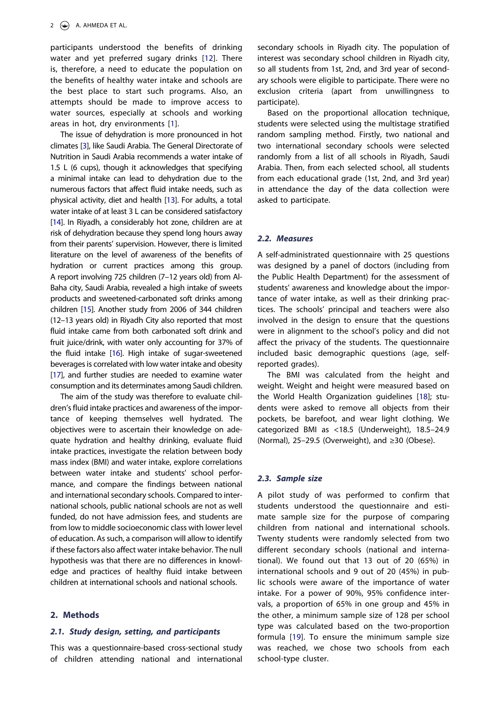participants understood the benefits of drinking water and yet preferred sugary drinks [\[12\]](#page-7-2). There is, therefore, a need to educate the population on the benefits of healthy water intake and schools are the best place to start such programs. Also, an attempts should be made to improve access to water sources, especially at schools and working areas in hot, dry environments [[1](#page-6-0)].

The issue of dehydration is more pronounced in hot climates [\[3](#page-6-2)], like Saudi Arabia. The General Directorate of Nutrition in Saudi Arabia recommends a water intake of 1.5 L (6 cups), though it acknowledges that specifying a minimal intake can lead to dehydration due to the numerous factors that affect fluid intake needs, such as physical activity, diet and health [\[13](#page-7-3)]. For adults, a total water intake of at least 3 L can be considered satisfactory [[14\]](#page-7-4). In Riyadh, a considerably hot zone, children are at risk of dehydration because they spend long hours away from their parents' supervision. However, there is limited literature on the level of awareness of the benefits of hydration or current practices among this group. A report involving 725 children (7–12 years old) from Al-Baha city, Saudi Arabia, revealed a high intake of sweets products and sweetened-carbonated soft drinks among children [\[15\]](#page-7-5). Another study from 2006 of 344 children (12–13 years old) in Riyadh City also reported that most fluid intake came from both carbonated soft drink and fruit juice/drink, with water only accounting for 37% of the fluid intake [\[16](#page-7-6)]. High intake of sugar-sweetened beverages is correlated with low water intake and obesity [[17\]](#page-7-7), and further studies are needed to examine water consumption and its determinates among Saudi children.

The aim of the study was therefore to evaluate children's fluid intake practices and awareness of the importance of keeping themselves well hydrated. The objectives were to ascertain their knowledge on adequate hydration and healthy drinking, evaluate fluid intake practices, investigate the relation between body mass index (BMI) and water intake, explore correlations between water intake and students' school performance, and compare the findings between national and international secondary schools. Compared to international schools, public national schools are not as well funded, do not have admission fees, and students are from low to middle socioeconomic class with lower level of education. As such, a comparison will allow to identify if these factors also affect water intake behavior. The null hypothesis was that there are no differences in knowledge and practices of healthy fluid intake between children at international schools and national schools.

#### **2. Methods**

## **2.1. Study design, setting, and participants**

This was a questionnaire-based cross-sectional study of children attending national and international secondary schools in Riyadh city. The population of interest was secondary school children in Riyadh city, so all students from 1st, 2nd, and 3rd year of secondary schools were eligible to participate. There were no exclusion criteria (apart from unwillingness to participate).

Based on the proportional allocation technique, students were selected using the multistage stratified random sampling method. Firstly, two national and two international secondary schools were selected randomly from a list of all schools in Riyadh, Saudi Arabia. Then, from each selected school, all students from each educational grade (1st, 2nd, and 3rd year) in attendance the day of the data collection were asked to participate.

#### **2.2. Measures**

A self-administrated questionnaire with 25 questions was designed by a panel of doctors (including from the Public Health Department) for the assessment of students' awareness and knowledge about the importance of water intake, as well as their drinking practices. The schools' principal and teachers were also involved in the design to ensure that the questions were in alignment to the school's policy and did not affect the privacy of the students. The questionnaire included basic demographic questions (age, selfreported grades).

The BMI was calculated from the height and weight. Weight and height were measured based on the World Health Organization guidelines [\[18](#page-7-8)]; students were asked to remove all objects from their pockets, be barefoot, and wear light clothing. We categorized BMI as <18.5 (Underweight), 18.5–24.9 (Normal), 25–29.5 (Overweight), and ≥30 (Obese).

#### **2.3. Sample size**

A pilot study of was performed to confirm that students understood the questionnaire and estimate sample size for the purpose of comparing children from national and international schools. Twenty students were randomly selected from two different secondary schools (national and international). We found out that 13 out of 20 (65%) in international schools and 9 out of 20 (45%) in public schools were aware of the importance of water intake. For a power of 90%, 95% confidence intervals, a proportion of 65% in one group and 45% in the other, a minimum sample size of 128 per school type was calculated based on the two-proportion formula [[19](#page-7-9)]. To ensure the minimum sample size was reached, we chose two schools from each school-type cluster.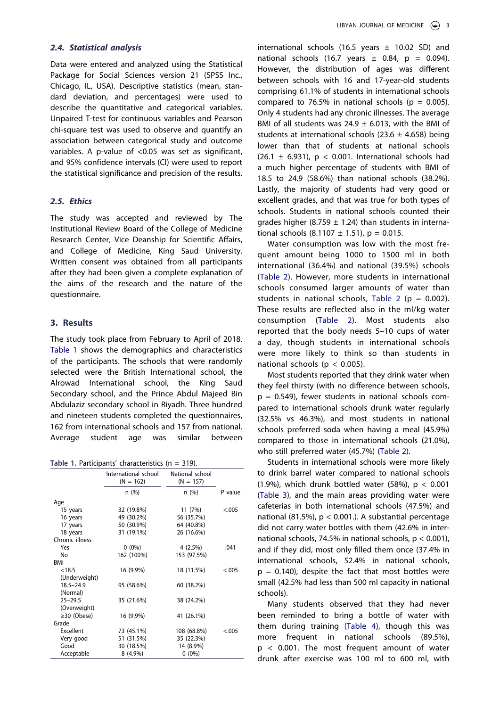#### **2.4. Statistical analysis**

Data were entered and analyzed using the Statistical Package for Social Sciences version 21 (SPSS Inc., Chicago, IL, USA). Descriptive statistics (mean, standard deviation, and percentages) were used to describe the quantitative and categorical variables. Unpaired T-test for continuous variables and Pearson chi-square test was used to observe and quantify an association between categorical study and outcome variables. A p-value of <0.05 was set as significant, and 95% confidence intervals (CI) were used to report the statistical significance and precision of the results.

#### **2.5. Ethics**

The study was accepted and reviewed by The Institutional Review Board of the College of Medicine Research Center, Vice Deanship for Scientific Affairs, and College of Medicine, King Saud University. Written consent was obtained from all participants after they had been given a complete explanation of the aims of the research and the nature of the questionnaire.

#### **3. Results**

The study took place from February to April of 2018. [Table 1](#page-3-0) shows the demographics and characteristics of the participants. The schools that were randomly selected were the British International school, the Alrowad International school, the King Saud Secondary school, and the Prince Abdul Majeed Bin Abdulaziz secondary school in Riyadh. Three hundred and nineteen students completed the questionnaires, 162 from international schools and 157 from national. Average student age was similar between

<span id="page-3-0"></span>**Table 1.** Participants' characteristics (n = 319).

|                   | International school<br>$(N = 162)$ | National school<br>$(N = 157)$ |         |
|-------------------|-------------------------------------|--------------------------------|---------|
|                   | n (%)                               | n(%)                           | P value |
| Age               |                                     |                                |         |
| 15 years          | 32 (19.8%)                          | 11 (7%)                        | < 0.005 |
| 16 years          | 49 (30.2%)                          | 56 (35.7%)                     |         |
| 17 years          | 50 (30.9%)                          | 64 (40.8%)                     |         |
| 18 years          | 31 (19.1%)                          | 26 (16.6%)                     |         |
| Chronic illness   |                                     |                                |         |
| Yes               | $0(0\%)$                            | 4(2.5%)                        | .041    |
| No                | 162 (100%)                          | 153 (97.5%)                    |         |
| BMI               |                                     |                                |         |
| < 18.5            | 16 (9.9%)                           | 18 (11.5%)                     | < 0.005 |
| (Underweight)     |                                     |                                |         |
| $18.5 - 24.9$     | 95 (58.6%)                          | 60 (38.2%)                     |         |
| (Normal)          |                                     |                                |         |
| $25 - 29.5$       | 35 (21.6%)                          | 38 (24.2%)                     |         |
| (Overweight)      |                                     |                                |         |
| $\geq$ 30 (Obese) | 16 (9.9%)                           | 41 (26.1%)                     |         |
| Grade             |                                     |                                |         |
| Excellent         | 73 (45.1%)                          | 108 (68.8%)                    | < .005  |
| Very good         | 51 (31.5%)                          | 35 (22.3%)                     |         |
| Good              | 30 (18.5%)                          | 14 (8.9%)                      |         |
| Acceptable        | 8 (4.9%)                            | $0(0\%)$                       |         |

international schools (16.5 years  $\pm$  10.02 SD) and national schools (16.7 years  $\pm$  0.84, p = 0.094). However, the distribution of ages was different between schools with 16 and 17-year-old students comprising 61.1% of students in international schools compared to 76.5% in national schools ( $p = 0.005$ ). Only 4 students had any chronic illnesses. The average BMI of all students was  $24.9 \pm 6.013$ , with the BMI of students at international schools (23.6  $\pm$  4.658) being lower than that of students at national schools (26.1  $\pm$  6.931), p < 0.001. International schools had a much higher percentage of students with BMI of 18.5 to 24.9 (58.6%) than national schools (38.2%). Lastly, the majority of students had very good or excellent grades, and that was true for both types of schools. Students in national schools counted their grades higher (8.759  $\pm$  1.24) than students in international schools  $(8.1107 \pm 1.51)$ , p = 0.015.

Water consumption was low with the most frequent amount being 1000 to 1500 ml in both international (36.4%) and national (39.5%) schools ([Table 2\)](#page-4-0). However, more students in international schools consumed larger amounts of water than students in national schools, [Table 2](#page-4-0) ( $p = 0.002$ ). These results are reflected also in the ml/kg water consumption ([Table 2](#page-4-0)). Most students also reported that the body needs 5–10 cups of water a day, though students in international schools were more likely to think so than students in national schools ( $p < 0.005$ ).

Most students reported that they drink water when they feel thirsty (with no difference between schools,  $p = 0.549$ , fewer students in national schools compared to international schools drunk water regularly (32.5% vs 46.3%), and most students in national schools preferred soda when having a meal (45.9%) compared to those in international schools (21.0%), who still preferred water (45.7%) ([Table 2\)](#page-4-0).

Students in international schools were more likely to drink barrel water compared to national schools (1.9%), which drunk bottled water (58%),  $p < 0.001$ [\(Table 3\)](#page-4-1), and the main areas providing water were cafeterias in both international schools (47.5%) and national (81.5%), p < 0.001.). A substantial percentage did not carry water bottles with them (42.6% in international schools, 74.5% in national schools, p < 0.001), and if they did, most only filled them once (37.4% in international schools, 52.4% in national schools,  $p = 0.140$ , despite the fact that most bottles were small (42.5% had less than 500 ml capacity in national schools).

Many students observed that they had never been reminded to bring a bottle of water with them during training ([Table 4\)](#page-5-0), though this was more frequent in national schools (89.5%), p < 0.001. The most frequent amount of water drunk after exercise was 100 ml to 600 ml, with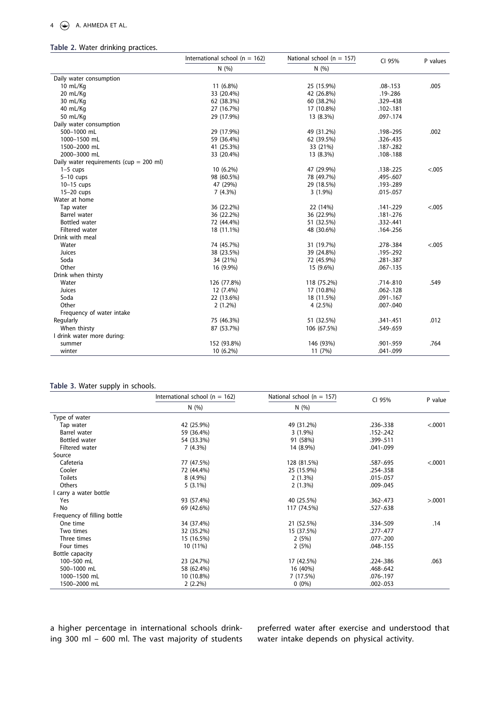#### 4  $\left(\frac{1}{2}\right)$  A. AHMEDA ET AL.

# <span id="page-4-0"></span>**Table 2.** Water drinking practices.

| N(%)<br>N(%)<br>Daily water consumption<br>10 mL/Kg<br>11 (6.8%)<br>25 (15.9%)<br>.005<br>$.08 - .153$<br>20 mL/Kg<br>33 (20.4%)<br>.19 - .286<br>42 (26.8%)<br>30 mL/Kg<br>62 (38.3%)<br>60 (38.2%)<br>.329-438<br>40 mL/Kg<br>27 (16.7%)<br>17 (10.8%)<br>.102-.181<br>50 mL/Kg<br>29 (17.9%)<br>13 (8.3%)<br>.097-.174<br>Daily water consumption<br>500-1000 mL<br>29 (17.9%)<br>49 (31.2%)<br>.002<br>.198-295<br>1000-1500 mL<br>59 (36.4%)<br>62 (39.5%)<br>$.326 - .435$ |
|----------------------------------------------------------------------------------------------------------------------------------------------------------------------------------------------------------------------------------------------------------------------------------------------------------------------------------------------------------------------------------------------------------------------------------------------------------------------------------|
|                                                                                                                                                                                                                                                                                                                                                                                                                                                                                  |
|                                                                                                                                                                                                                                                                                                                                                                                                                                                                                  |
|                                                                                                                                                                                                                                                                                                                                                                                                                                                                                  |
|                                                                                                                                                                                                                                                                                                                                                                                                                                                                                  |
|                                                                                                                                                                                                                                                                                                                                                                                                                                                                                  |
|                                                                                                                                                                                                                                                                                                                                                                                                                                                                                  |
|                                                                                                                                                                                                                                                                                                                                                                                                                                                                                  |
|                                                                                                                                                                                                                                                                                                                                                                                                                                                                                  |
|                                                                                                                                                                                                                                                                                                                                                                                                                                                                                  |
|                                                                                                                                                                                                                                                                                                                                                                                                                                                                                  |
| 41 (25.3%)<br>1500-2000 mL<br>33 (21%)<br>.187 - .282                                                                                                                                                                                                                                                                                                                                                                                                                            |
| 2000-3000 mL<br>13 (8.3%)<br>33 (20.4%)<br>.108-.188                                                                                                                                                                                                                                                                                                                                                                                                                             |
| Daily water requirements ( $cup = 200$ ml)                                                                                                                                                                                                                                                                                                                                                                                                                                       |
| < .005<br>$1-5$ cups<br>10 (6.2%)<br>47 (29.9%)<br>.138 -. 225                                                                                                                                                                                                                                                                                                                                                                                                                   |
| $5-10$ cups<br>98 (60.5%)<br>78 (49.7%)<br>.495-.607                                                                                                                                                                                                                                                                                                                                                                                                                             |
| 29 (18.5%)<br>$10-15$ cups<br>47 (29%)<br>.193-.289                                                                                                                                                                                                                                                                                                                                                                                                                              |
| 15-20 cups<br>$3(1.9\%)$<br>.015 - .057<br>7(4.3%)                                                                                                                                                                                                                                                                                                                                                                                                                               |
| Water at home                                                                                                                                                                                                                                                                                                                                                                                                                                                                    |
| 36 (22.2%)<br>22 (14%)<br>< .005<br>Tap water<br>.141-.229                                                                                                                                                                                                                                                                                                                                                                                                                       |
| Barrel water<br>36 (22.2%)<br>36 (22.9%)<br>.181 -. 276                                                                                                                                                                                                                                                                                                                                                                                                                          |
| <b>Bottled</b> water<br>72 (44.4%)<br>51 (32.5%)<br>.332-.441                                                                                                                                                                                                                                                                                                                                                                                                                    |
| Filtered water<br>18 (11.1%)<br>48 (30.6%)<br>.164 - .256                                                                                                                                                                                                                                                                                                                                                                                                                        |
| Drink with meal                                                                                                                                                                                                                                                                                                                                                                                                                                                                  |
| Water<br>74 (45.7%)<br>31 (19.7%)<br>< .005<br>.278-.384                                                                                                                                                                                                                                                                                                                                                                                                                         |
| Juices<br>.195-.292<br>38 (23.5%)<br>39 (24.8%)                                                                                                                                                                                                                                                                                                                                                                                                                                  |
| Soda<br>34 (21%)<br>72 (45.9%)<br>.281-.387                                                                                                                                                                                                                                                                                                                                                                                                                                      |
| Other<br>16 (9.9%)<br>15 (9.6%)<br>$.067 - .135$                                                                                                                                                                                                                                                                                                                                                                                                                                 |
| Drink when thirsty                                                                                                                                                                                                                                                                                                                                                                                                                                                               |
| Water<br>118 (75.2%)<br>.714-.810<br>.549<br>126 (77.8%)                                                                                                                                                                                                                                                                                                                                                                                                                         |
| Juices<br>17 (10.8%)<br>12 (7.4%)<br>$.062 - .128$                                                                                                                                                                                                                                                                                                                                                                                                                               |
| Soda<br>22 (13.6%)<br>18 (11.5%)<br>.091-.167                                                                                                                                                                                                                                                                                                                                                                                                                                    |
| Other<br>$2(1.2\%)$<br>4(2.5%)<br>.007-.040                                                                                                                                                                                                                                                                                                                                                                                                                                      |
| Frequency of water intake                                                                                                                                                                                                                                                                                                                                                                                                                                                        |
| .012<br>75 (46.3%)<br>51 (32.5%)<br>Regularly<br>.341-.451                                                                                                                                                                                                                                                                                                                                                                                                                       |
| When thirsty<br>106 (67.5%)<br>87 (53.7%)<br>.549-.659                                                                                                                                                                                                                                                                                                                                                                                                                           |
| I drink water more during:                                                                                                                                                                                                                                                                                                                                                                                                                                                       |
| 152 (93.8%)<br>146 (93%)<br>.901-.959<br>.764<br>summer                                                                                                                                                                                                                                                                                                                                                                                                                          |
| winter<br>10 (6.2%)<br>11 (7%)<br>.041-.099                                                                                                                                                                                                                                                                                                                                                                                                                                      |

#### <span id="page-4-1"></span>**Table 3.** Water supply in schools.

|                             | International school ( $n = 162$ ) | National school ( $n = 157$ ) | CI 95%      | P value  |
|-----------------------------|------------------------------------|-------------------------------|-------------|----------|
|                             | N(%)                               | N(%)                          |             |          |
| Type of water               |                                    |                               |             |          |
| Tap water                   | 42 (25.9%)                         | 49 (31.2%)                    | .236-.338   | < .0001  |
| Barrel water                | 59 (36.4%)                         | $3(1.9\%)$                    | .152-.242   |          |
| Bottled water               | 54 (33.3%)                         | 91 (58%)                      | .399-.511   |          |
| Filtered water              | 7(4.3%)                            | 14 (8.9%)                     | .041-.099   |          |
| Source                      |                                    |                               |             |          |
| Cafeteria                   | 77 (47.5%)                         | 128 (81.5%)                   | .587-.695   | < .0001  |
| Cooler                      | 72 (44.4%)                         | 25 (15.9%)                    | .254-.358   |          |
| <b>Toilets</b>              | 8 (4.9%)                           | 2(1.3%)                       | .015 - .057 |          |
| Others                      | $5(3.1\%)$                         | 2(1.3%)                       | .009-.045   |          |
| carry a water bottle        |                                    |                               |             |          |
| Yes                         | 93 (57.4%)                         | 40 (25.5%)                    | .362-.473   | > 0.0001 |
| No                          | 69 (42.6%)                         | 117 (74.5%)                   | .527-.638   |          |
| Frequency of filling bottle |                                    |                               |             |          |
| One time                    | 34 (37.4%)                         | 21 (52.5%)                    | .334-.509   | .14      |
| Two times                   | 32 (35.2%)                         | 15 (37.5%)                    | .277-.477   |          |
| Three times                 | 15 (16.5%)                         | 2(5%)                         | .077-.200   |          |
| Four times                  | 10 (11%)                           | 2(5%)                         | .048-.155   |          |
| Bottle capacity             |                                    |                               |             |          |
| 100-500 mL                  | 23 (24.7%)                         | 17 (42.5%)                    | .224-.386   | .063     |
| 500-1000 mL                 | 58 (62.4%)                         | 16 (40%)                      | .468-.642   |          |
| 1000-1500 mL                | 10 (10.8%)                         | 7 (17.5%)                     | .076-.197   |          |
| 1500-2000 mL                | $2(2.2\%)$                         | $0(0\%)$                      | .002-.053   |          |

a higher percentage in international schools drinking 300 ml – 600 ml. The vast majority of students preferred water after exercise and understood that water intake depends on physical activity.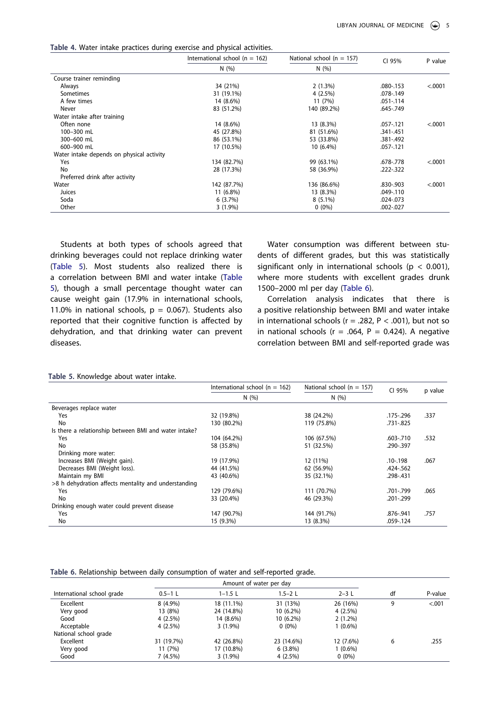<span id="page-5-0"></span>**Table 4.** Water intake practices during exercise and physical activities.

|                                           | International school ( $n = 162$ ) | National school ( $n = 157$ ) | CI 95%        | P value |
|-------------------------------------------|------------------------------------|-------------------------------|---------------|---------|
|                                           | N(%)                               | N(%)                          |               |         |
| Course trainer reminding                  |                                    |                               |               |         |
| Always                                    | 34 (21%)                           | 2(1.3%)                       | .080-.153     | < .0001 |
| Sometimes                                 | 31 (19.1%)                         | 4(2.5%)                       | .078-.149     |         |
| A few times                               | 14 (8.6%)                          | 11 (7%)                       | $.051 - .114$ |         |
| Never                                     | 83 (51.2%)                         | 140 (89.2%)                   | .645-.749     |         |
| Water intake after training               |                                    |                               |               |         |
| Often none                                | 14 (8.6%)                          | 13 (8.3%)                     | .057-.121     | < .0001 |
| 100-300 mL                                | 45 (27.8%)                         | 81 (51.6%)                    | .341-.451     |         |
| 300-600 mL                                | 86 (53.1%)                         | 53 (33.8%)                    | .381-.492     |         |
| 600-900 mL                                | 17 (10.5%)                         | $10(6.4\%)$                   | .057-.121     |         |
| Water intake depends on physical activity |                                    |                               |               |         |
| Yes                                       | 134 (82.7%)                        | 99 (63.1%)                    | .678-.778     | < .0001 |
| No                                        | 28 (17.3%)                         | 58 (36.9%)                    | $.222 - .322$ |         |
| Preferred drink after activity            |                                    |                               |               |         |
| Water                                     | 142 (87.7%)                        | 136 (86.6%)                   | .830-.903     | < .0001 |
| Juices                                    | 11 (6.8%)                          | 13 (8.3%)                     | .049-.110     |         |
| Soda                                      | 6(3.7%)                            | $8(5.1\%)$                    | .024-.073     |         |
| Other                                     | $3(1.9\%)$                         | $0(0\%)$                      | .002-.027     |         |

Students at both types of schools agreed that drinking beverages could not replace drinking water ([Table 5](#page-5-1)). Most students also realized there is a correlation between BMI and water intake ([Table](#page-5-1)  [5](#page-5-1)), though a small percentage thought water can cause weight gain (17.9% in international schools, 11.0% in national schools,  $p = 0.067$ ). Students also reported that their cognitive function is affected by dehydration, and that drinking water can prevent diseases.

Water consumption was different between students of different grades, but this was statistically significant only in international schools ( $p < 0.001$ ), where more students with excellent grades drunk 1500–2000 ml per day ([Table 6\)](#page-5-2).

Correlation analysis indicates that there is a positive relationship between BMI and water intake in international schools ( $r = .282$ ,  $P < .001$ ), but not so in national schools ( $r = .064$ ,  $P = 0.424$ ). A negative correlation between BMI and self-reported grade was

<span id="page-5-1"></span>

| Table 5. Knowledge about water intake. |  |  |  |  |  |  |
|----------------------------------------|--|--|--|--|--|--|
|----------------------------------------|--|--|--|--|--|--|

|                                                       | International school ( $n = 162$ ) | National school ( $n = 157$ ) | CI 95%    | p value |
|-------------------------------------------------------|------------------------------------|-------------------------------|-----------|---------|
|                                                       | N(%)                               | N(%)                          |           |         |
| Beverages replace water                               |                                    |                               |           |         |
| Yes                                                   | 32 (19.8%)                         | 38 (24.2%)                    | .175-.296 | .337    |
| No                                                    | 130 (80.2%)                        | 119 (75.8%)                   | .731-.825 |         |
| Is there a relationship between BMI and water intake? |                                    |                               |           |         |
| Yes                                                   | 104 (64.2%)                        | 106 (67.5%)                   | .603-.710 | .532    |
| No                                                    | 58 (35.8%)                         | 51 (32.5%)                    | .290-.397 |         |
| Drinking more water:                                  |                                    |                               |           |         |
| Increases BMI (Weight gain).                          | 19 (17.9%)                         | 12 (11%)                      | .10-.198  | .067    |
| Decreases BMI (Weight loss).                          | 44 (41.5%)                         | 62 (56.9%)                    | .424-.562 |         |
| Maintain my BMI                                       | 43 (40.6%)                         | 35 (32.1%)                    | .298-.431 |         |
| >8 h dehydration affects mentality and understanding  |                                    |                               |           |         |
| Yes                                                   | 129 (79.6%)                        | 111 (70.7%)                   | .701-.799 | .065    |
| No                                                    | 33 (20.4%)                         | 46 (29.3%)                    | .201-.299 |         |
| Drinking enough water could prevent disease           |                                    |                               |           |         |
| Yes                                                   | 147 (90.7%)                        | 144 (91.7%)                   | .876-.941 | .757    |
| No                                                    | 15 (9.3%)                          | 13 (8.3%)                     | .059-.124 |         |

#### <span id="page-5-2"></span>**Table 6.** Relationship between daily consumption of water and self-reported grade.

|                            |             | Amount of water per day |             |            |    |         |
|----------------------------|-------------|-------------------------|-------------|------------|----|---------|
| International school grade | $0.5 - 1$ L | $1 - 1.5$ L             | $1.5 - 2$ L | $2 - 3$ L  | df | P-value |
| Excellent                  | $8(4.9\%)$  | 18 (11.1%)              | 31 (13%)    | 26 (16%)   | 9  | < .001  |
| Very good                  | 13 (8%)     | 24 (14.8%)              | $10(6.2\%)$ | 4(2.5%)    |    |         |
| Good                       | 4(2.5%)     | 14 (8.6%)               | $10(6.2\%)$ | $2(1.2\%)$ |    |         |
| Acceptable                 | 4(2.5%)     | $3(1.9\%)$              | $0(0\%)$    | $1(0.6\%)$ |    |         |
| National school grade      |             |                         |             |            |    |         |
| Excellent                  | 31 (19.7%)  | 42 (26.8%)              | 23 (14.6%)  | 12 (7.6%)  | 6  | .255    |
| Very good                  | 11 (7%)     | 17 (10.8%)              | $6(3.8\%)$  | $1(0.6\%)$ |    |         |
| Good                       | 7 (4.5%)    | $3(1.9\%)$              | 4(2.5%)     | $0(0\%)$   |    |         |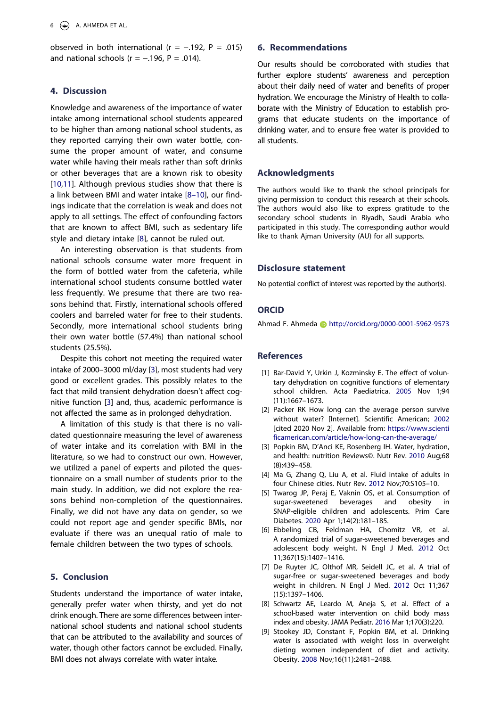observed in both international ( $r = -.192$ ,  $P = .015$ ) and national schools ( $r = -.196$ ,  $P = .014$ ).

# **4. Discussion**

Knowledge and awareness of the importance of water intake among international school students appeared to be higher than among national school students, as they reported carrying their own water bottle, consume the proper amount of water, and consume water while having their meals rather than soft drinks or other beverages that are a known risk to obesity [[10](#page-7-0)[,11](#page-7-1)]. Although previous studies show that there is a link between BMI and water intake [\[8–10\]](#page-6-7), our findings indicate that the correlation is weak and does not apply to all settings. The effect of confounding factors that are known to affect BMI, such as sedentary life style and dietary intake [\[8](#page-6-7)], cannot be ruled out.

An interesting observation is that students from national schools consume water more frequent in the form of bottled water from the cafeteria, while international school students consume bottled water less frequently. We presume that there are two reasons behind that. Firstly, international schools offered coolers and barreled water for free to their students. Secondly, more international school students bring their own water bottle (57.4%) than national school students (25.5%).

Despite this cohort not meeting the required water intake of 2000–3000 ml/day [[3\]](#page-6-2), most students had very good or excellent grades. This possibly relates to the fact that mild transient dehydration doesn't affect cognitive function [\[3](#page-6-2)] and, thus, academic performance is not affected the same as in prolonged dehydration.

A limitation of this study is that there is no validated questionnaire measuring the level of awareness of water intake and its correlation with BMI in the literature, so we had to construct our own. However, we utilized a panel of experts and piloted the questionnaire on a small number of students prior to the main study. In addition, we did not explore the reasons behind non-completion of the questionnaires. Finally, we did not have any data on gender, so we could not report age and gender specific BMIs, nor evaluate if there was an unequal ratio of male to female children between the two types of schools.

# **5. Conclusion**

Students understand the importance of water intake, generally prefer water when thirsty, and yet do not drink enough. There are some differences between international school students and national school students that can be attributed to the availability and sources of water, though other factors cannot be excluded. Finally, BMI does not always correlate with water intake.

## **6. Recommendations**

Our results should be corroborated with studies that further explore students' awareness and perception about their daily need of water and benefits of proper hydration. We encourage the Ministry of Health to collaborate with the Ministry of Education to establish programs that educate students on the importance of drinking water, and to ensure free water is provided to all students.

# **Acknowledgments**

The authors would like to thank the school principals for giving permission to conduct this research at their schools. The authors would also like to express gratitude to the secondary school students in Riyadh, Saudi Arabia who participated in this study. The corresponding author would like to thank Ajman University (AU) for all supports.

#### **Disclosure statement**

No potential conflict of interest was reported by the author(s).

# **ORCID**

Ahmad F. Ahmeda http://orcid.org/0000-0001-5962-9573

#### **References**

- <span id="page-6-0"></span>[1] Bar-David Y, Urkin J, Kozminsky E. The effect of voluntary dehydration on cognitive functions of elementary school children. Acta Paediatrica. 2005 Nov 1;94 (11):1667–1673.
- <span id="page-6-1"></span>[2] Packer RK How long can the average person survive without water? [Internet]. Scientific American; 2002 [cited 2020 Nov 2]. Available from: [https://www.scienti](https://www.scientificamerican.com/article/how-long-can-the-average/) [ficamerican.com/article/how-long-can-the-average/](https://www.scientificamerican.com/article/how-long-can-the-average/)
- <span id="page-6-2"></span>[3] Popkin BM, D'Anci KE, Rosenberg IH. Water, hydration, and health: nutrition Reviews©. Nutr Rev. 2010 Aug;68 (8):439–458.
- <span id="page-6-3"></span>[4] Ma G, Zhang Q, Liu A, et al. Fluid intake of adults in four Chinese cities. Nutr Rev. 2012 Nov;70:S105–10.
- <span id="page-6-4"></span>[5] Twarog JP, Peraj E, Vaknin OS, et al. Consumption of sugar-sweetened beverages and obesity in SNAP-eligible children and adolescents. Prim Care Diabetes. 2020 Apr 1;14(2):181–185.
- <span id="page-6-5"></span>[6] Ebbeling CB, Feldman HA, Chomitz VR, et al. A randomized trial of sugar-sweetened beverages and adolescent body weight. N Engl J Med. 2012 Oct 11;367(15):1407–1416.
- <span id="page-6-6"></span>[7] De Ruyter JC, Olthof MR, Seidell JC, et al. A trial of sugar-free or sugar-sweetened beverages and body weight in children. N Engl J Med. 2012 Oct 11;367 (15):1397–1406.
- <span id="page-6-7"></span>[8] Schwartz AE, Leardo M, Aneja S, et al. Effect of a school-based water intervention on child body mass index and obesity. JAMA Pediatr. 2016 Mar 1;170(3):220.
- <span id="page-6-8"></span>[9] Stookey JD, Constant F, Popkin BM, et al. Drinking water is associated with weight loss in overweight dieting women independent of diet and activity. Obesity. 2008 Nov;16(11):2481–2488.